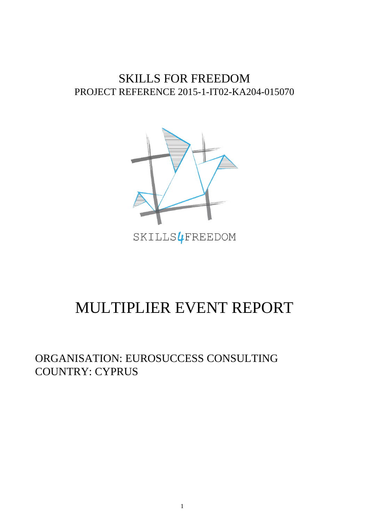## SKILLS FOR FREEDOM PROJECT REFERENCE 2015-1-IT02-KA204-015070



## MULTIPLIER EVENT REPORT

ORGANISATION: EUROSUCCESS CONSULTING COUNTRY: CYPRUS